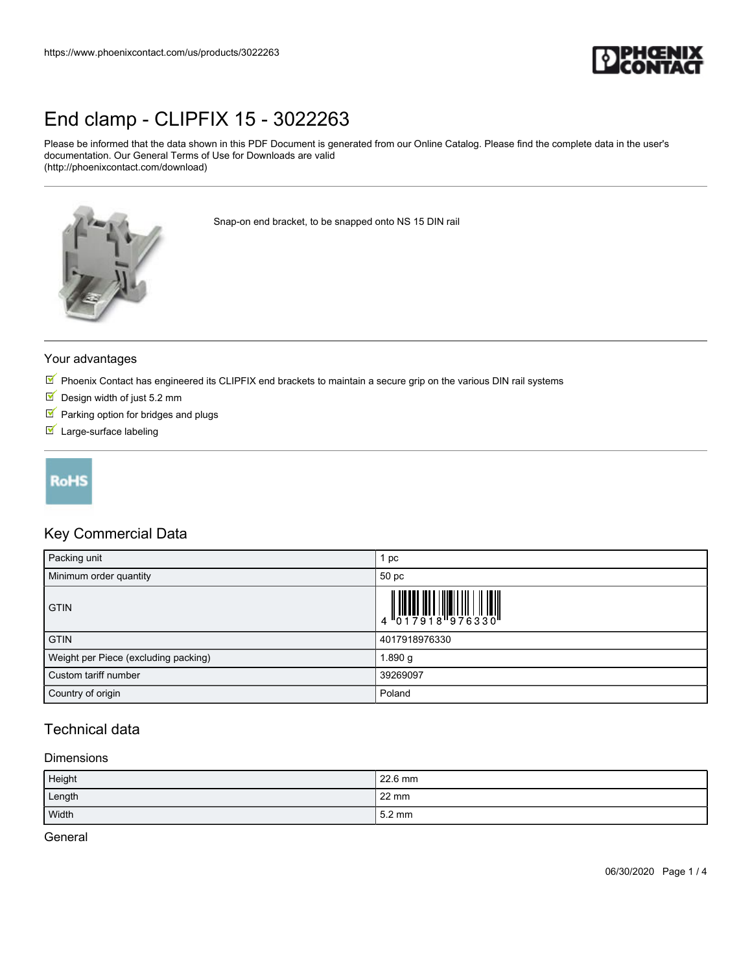

# [End clamp - CLIPFIX 15 - 3022263](https://www.phoenixcontact.com/us/products/3022263)

Please be informed that the data shown in this PDF Document is generated from our Online Catalog. Please find the complete data in the user's documentation. Our General Terms of Use for Downloads are valid (http://phoenixcontact.com/download)



Snap-on end bracket, to be snapped onto NS 15 DIN rail

#### Your advantages

- $\mathbb N$  Phoenix Contact has engineered its CLIPFIX end brackets to maintain a secure grip on the various DIN rail systems
- $\blacksquare$  Design width of just 5.2 mm
- $\blacksquare$  Parking option for bridges and plugs
- Large-surface labeling

# **RoHS**

## Key Commercial Data

| Packing unit                         | pc                                                                                                                                                                                                                                                                                                                             |
|--------------------------------------|--------------------------------------------------------------------------------------------------------------------------------------------------------------------------------------------------------------------------------------------------------------------------------------------------------------------------------|
| Minimum order quantity               | 50 pc                                                                                                                                                                                                                                                                                                                          |
| <b>GTIN</b>                          | $\begin{array}{c} 1 & 0 & 0 & 0 \\ 0 & 1 & 0 & 1 \\ 0 & 1 & 0 & 1 \\ 0 & 0 & 1 & 0 \\ 0 & 0 & 0 & 0 \\ 0 & 0 & 0 & 0 \\ 0 & 0 & 0 & 0 \\ 0 & 0 & 0 & 0 \\ 0 & 0 & 0 & 0 \\ 0 & 0 & 0 & 0 \\ 0 & 0 & 0 & 0 \\ 0 & 0 & 0 & 0 \\ 0 & 0 & 0 & 0 & 0 \\ 0 & 0 & 0 & 0 & 0 \\ 0 & 0 & 0 & 0 & 0 \\ 0 & 0 & 0 & 0 & 0 & 0 \\ 0 & 0 &$ |
| <b>GTIN</b>                          | 4017918976330                                                                                                                                                                                                                                                                                                                  |
| Weight per Piece (excluding packing) | i 890 g                                                                                                                                                                                                                                                                                                                        |
| Custom tariff number                 | 39269097                                                                                                                                                                                                                                                                                                                       |
| Country of origin                    | Poland                                                                                                                                                                                                                                                                                                                         |

## Technical data

#### **Dimensions**

| Height | 22.6 mm          |
|--------|------------------|
| Length | $22 \text{ mm}$  |
| Width  | $5.2 \text{ mm}$ |

**General**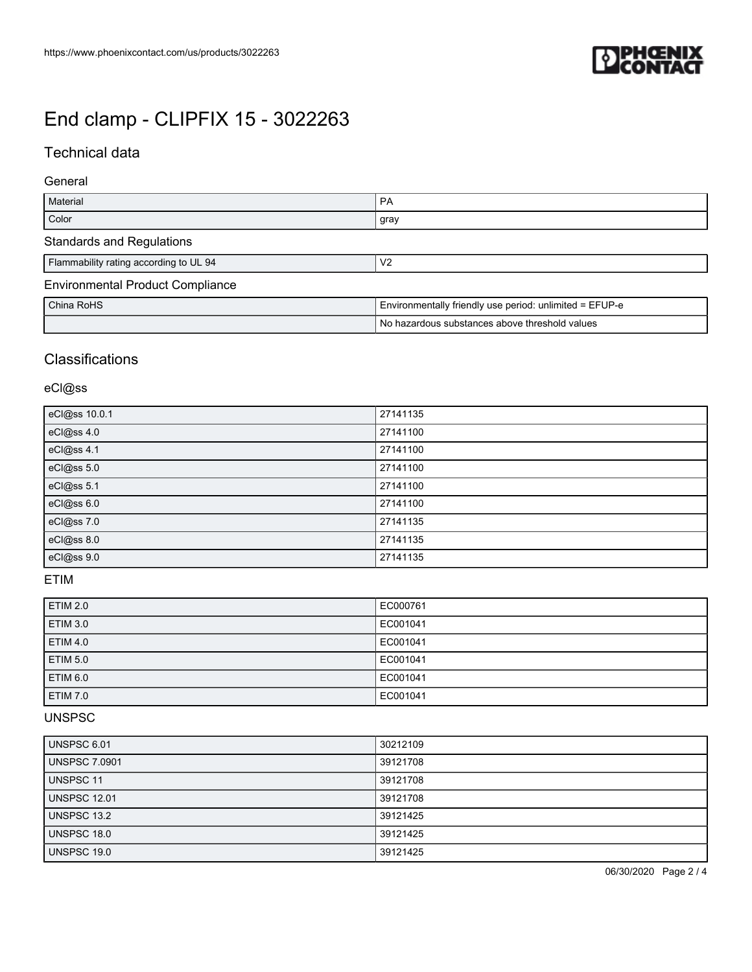

# [End clamp - CLIPFIX 15 - 3022263](https://www.phoenixcontact.com/us/products/3022263)

# Technical data

### General

| Material                                | PA                                                      |
|-----------------------------------------|---------------------------------------------------------|
| Color                                   | gray                                                    |
| <b>Standards and Regulations</b>        |                                                         |
| Flammability rating according to UL 94  | V <sub>2</sub>                                          |
| <b>Environmental Product Compliance</b> |                                                         |
| China RoHS                              | Environmentally friendly use period: unlimited = EFUP-e |
|                                         | No hazardous substances above threshold values          |

## **Classifications**

## eCl@ss

| eCl@ss 10.0.1 | 27141135 |
|---------------|----------|
| eCl@ss 4.0    | 27141100 |
| eCl@ss 4.1    | 27141100 |
| eCl@ss 5.0    | 27141100 |
| eCl@ss 5.1    | 27141100 |
| eCl@ss 6.0    | 27141100 |
| eCl@ss 7.0    | 27141135 |
| eCl@ss 8.0    | 27141135 |
| eCl@ss 9.0    | 27141135 |

### ETIM

| <b>ETIM 2.0</b> | EC000761 |
|-----------------|----------|
| <b>ETIM 3.0</b> | EC001041 |
| <b>ETIM 4.0</b> | EC001041 |
| <b>ETIM 5.0</b> | EC001041 |
| ETIM 6.0        | EC001041 |
| <b>ETIM 7.0</b> | EC001041 |

### UNSPSC

| UNSPSC 6.01          | 30212109 |
|----------------------|----------|
| <b>UNSPSC 7.0901</b> | 39121708 |
| <b>UNSPSC 11</b>     | 39121708 |
| <b>UNSPSC 12.01</b>  | 39121708 |
| UNSPSC 13.2          | 39121425 |
| UNSPSC 18.0          | 39121425 |
| UNSPSC 19.0          | 39121425 |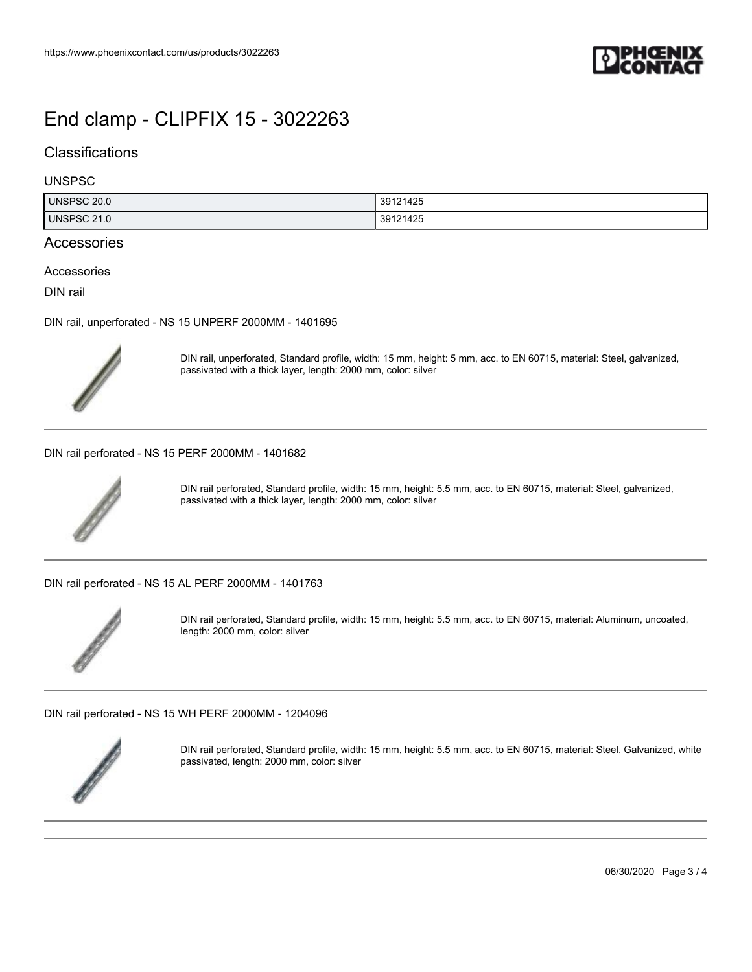

# [End clamp - CLIPFIX 15 - 3022263](https://www.phoenixcontact.com/us/products/3022263)

## **Classifications**

#### UNSPSC

| UNSPSC 20.0        | 39121425<br>$\sim$ |
|--------------------|--------------------|
| <b>UNSPSC 21.0</b> | 39121425           |

## Accessories

Accessories

DIN rail

[DIN rail, unperforated - NS 15 UNPERF 2000MM - 1401695](https://www.phoenixcontact.com/us/products/1401695)



DIN rail, unperforated, Standard profile, width: 15 mm, height: 5 mm, acc. to EN 60715, material: Steel, galvanized, passivated with a thick layer, length: 2000 mm, color: silver

[DIN rail perforated - NS 15 PERF 2000MM - 1401682](https://www.phoenixcontact.com/us/products/1401682)



DIN rail perforated, Standard profile, width: 15 mm, height: 5.5 mm, acc. to EN 60715, material: Steel, galvanized, passivated with a thick layer, length: 2000 mm, color: silver

[DIN rail perforated - NS 15 AL PERF 2000MM - 1401763](https://www.phoenixcontact.com/us/products/1401763)



DIN rail perforated, Standard profile, width: 15 mm, height: 5.5 mm, acc. to EN 60715, material: Aluminum, uncoated, length: 2000 mm, color: silver

[DIN rail perforated - NS 15 WH PERF 2000MM - 1204096](https://www.phoenixcontact.com/us/products/1204096)



DIN rail perforated, Standard profile, width: 15 mm, height: 5.5 mm, acc. to EN 60715, material: Steel, Galvanized, white passivated, length: 2000 mm, color: silver